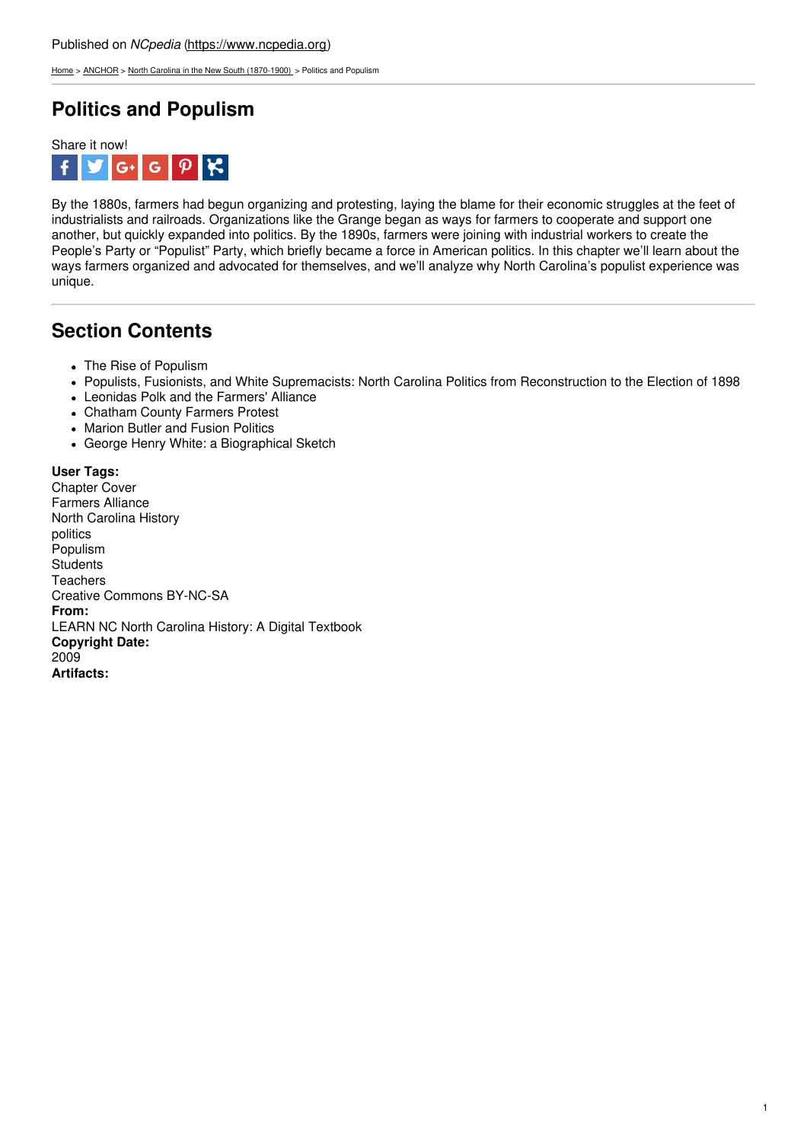[Home](https://www.ncpedia.org/) > [ANCHOR](https://www.ncpedia.org/anchor/anchor) > North Carolina in the New South [\(1870-1900\)](https://www.ncpedia.org/anchor/north-carolina-new-south) > Politics and Populism

## **Politics and Populism**



By the 1880s, farmers had begun organizing and protesting, laying the blame for their economic struggles at the feet of industrialists and railroads. Organizations like the Grange began as ways for farmers to cooperate and support one another, but quickly expanded into politics. By the 1890s, farmers were joining with industrial workers to create the People's Party or "Populist" Party, which briefly became a force in American politics. In this chapter we'll learn about the ways farmers organized and advocated for themselves, and we'll analyze why North Carolina's populist experience was unique.

## **Section Contents**

- The Rise of Populism
- Populists, Fusionists, and White [Supremacists:](http://www.social9.com) North Carolina Politics from Reconstruction to the Election of 1898
- Leonidas Polk and the Farmers' Alliance
- Chatham County Farmers Protest
- Marion Butler and Fusion Politics
- George Henry White: a Biographical Sketch

**User Tags:** Chapter Cover Farmers Alliance North Carolina History politics Populism **Students Teachers** Creative Commons BY-NC-SA **From:** LEARN NC North Carolina History: A Digital Textbook **Copyright Date:** 2009 **Artifacts:**